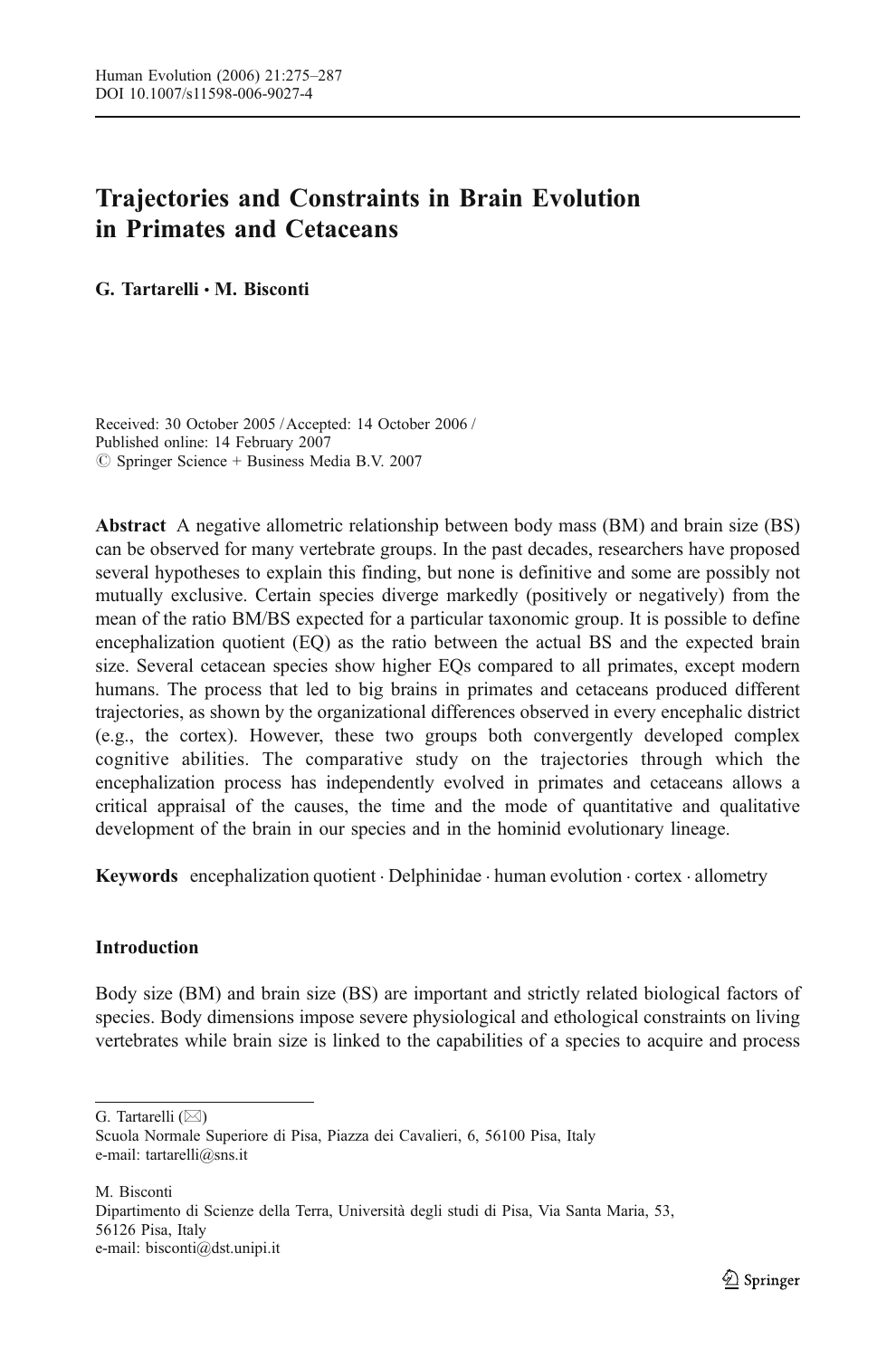# Trajectories and Constraints in Brain Evolution in Primates and Cetaceans

G. Tartarelli & M. Bisconti

Received: 30 October 2005 / Accepted: 14 October 2006 / Published online: 14 February 2007  $\circledcirc$  Springer Science + Business Media B.V. 2007

Abstract A negative allometric relationship between body mass (BM) and brain size (BS) can be observed for many vertebrate groups. In the past decades, researchers have proposed several hypotheses to explain this finding, but none is definitive and some are possibly not mutually exclusive. Certain species diverge markedly (positively or negatively) from the mean of the ratio BM/BS expected for a particular taxonomic group. It is possible to define encephalization quotient (EQ) as the ratio between the actual BS and the expected brain size. Several cetacean species show higher EQs compared to all primates, except modern humans. The process that led to big brains in primates and cetaceans produced different trajectories, as shown by the organizational differences observed in every encephalic district (e.g., the cortex). However, these two groups both convergently developed complex cognitive abilities. The comparative study on the trajectories through which the encephalization process has independently evolved in primates and cetaceans allows a critical appraisal of the causes, the time and the mode of quantitative and qualitative development of the brain in our species and in the hominid evolutionary lineage.

Keywords encephalization quotient  $\cdot$  Delphinidae  $\cdot$  human evolution  $\cdot$  cortex  $\cdot$  allometry

## Introduction

Body size (BM) and brain size (BS) are important and strictly related biological factors of species. Body dimensions impose severe physiological and ethological constraints on living vertebrates while brain size is linked to the capabilities of a species to acquire and process

G. Tartarelli  $(\boxtimes)$ 

Scuola Normale Superiore di Pisa, Piazza dei Cavalieri, 6, 56100 Pisa, Italy e-mail: tartarelli@sns.it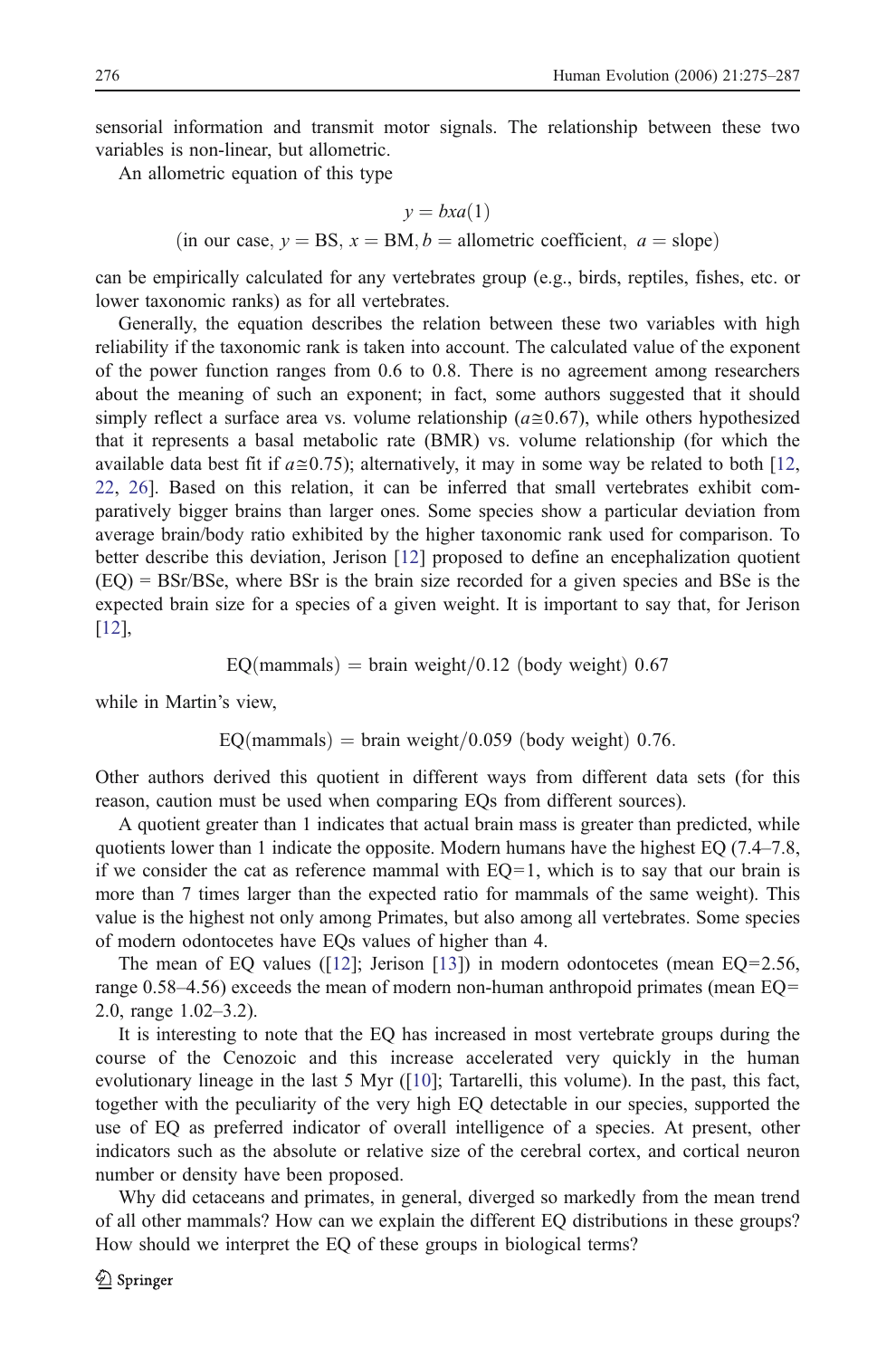sensorial information and transmit motor signals. The relationship between these two variables is non-linear, but allometric.

An allometric equation of this type

 $v = bxa(1)$ (in our case,  $v = BS$ ,  $x = BM$ ,  $b =$  allometric coefficient,  $a =$  slope)

can be empirically calculated for any vertebrates group (e.g., birds, reptiles, fishes, etc. or lower taxonomic ranks) as for all vertebrates.

Generally, the equation describes the relation between these two variables with high reliability if the taxonomic rank is taken into account. The calculated value of the exponent of the power function ranges from 0.6 to 0.8. There is no agreement among researchers about the meaning of such an exponent; in fact, some authors suggested that it should simply reflect a surface area vs. volume relationship ( $a \approx 0.67$ ), while others hypothesized that it represents a basal metabolic rate (BMR) vs. volume relationship (for which the available data best fit if  $a \approx 0.75$ ); alternatively, it may in some way be related to both [[12](#page-11-0), [22](#page-12-0), [26\]](#page-12-0). Based on this relation, it can be inferred that small vertebrates exhibit comparatively bigger brains than larger ones. Some species show a particular deviation from average brain/body ratio exhibited by the higher taxonomic rank used for comparison. To better describe this deviation, Jerison [\[12\]](#page-11-0) proposed to define an encephalization quotient  $(EQ)$  = BSr/BSe, where BSr is the brain size recorded for a given species and BSe is the expected brain size for a species of a given weight. It is important to say that, for Jerison [[12](#page-11-0)],

$$
EQ(mammals) = brain weight/0.12 (body weight) 0.67
$$

while in Martin's view,

$$
EQ(mammals) = brain weight/0.059 (body weight) 0.76.
$$

Other authors derived this quotient in different ways from different data sets (for this reason, caution must be used when comparing EQs from different sources).

A quotient greater than 1 indicates that actual brain mass is greater than predicted, while quotients lower than 1 indicate the opposite. Modern humans have the highest EQ (7.4–7.8, if we consider the cat as reference mammal with  $EQ=1$ , which is to say that our brain is more than 7 times larger than the expected ratio for mammals of the same weight). This value is the highest not only among Primates, but also among all vertebrates. Some species of modern odontocetes have EQs values of higher than 4.

The mean of EQ values ([[12](#page-11-0)]; Jerison [\[13\]](#page-11-0)) in modern odontocetes (mean EQ=2.56, range 0.58–4.56) exceeds the mean of modern non-human anthropoid primates (mean EQ= 2.0, range 1.02–3.2).

It is interesting to note that the EQ has increased in most vertebrate groups during the course of the Cenozoic and this increase accelerated very quickly in the human evolutionary lineage in the last 5 Myr ([\[10\]](#page-11-0); Tartarelli, this volume). In the past, this fact, together with the peculiarity of the very high EQ detectable in our species, supported the use of EQ as preferred indicator of overall intelligence of a species. At present, other indicators such as the absolute or relative size of the cerebral cortex, and cortical neuron number or density have been proposed.

Why did cetaceans and primates, in general, diverged so markedly from the mean trend of all other mammals? How can we explain the different EQ distributions in these groups? How should we interpret the EQ of these groups in biological terms?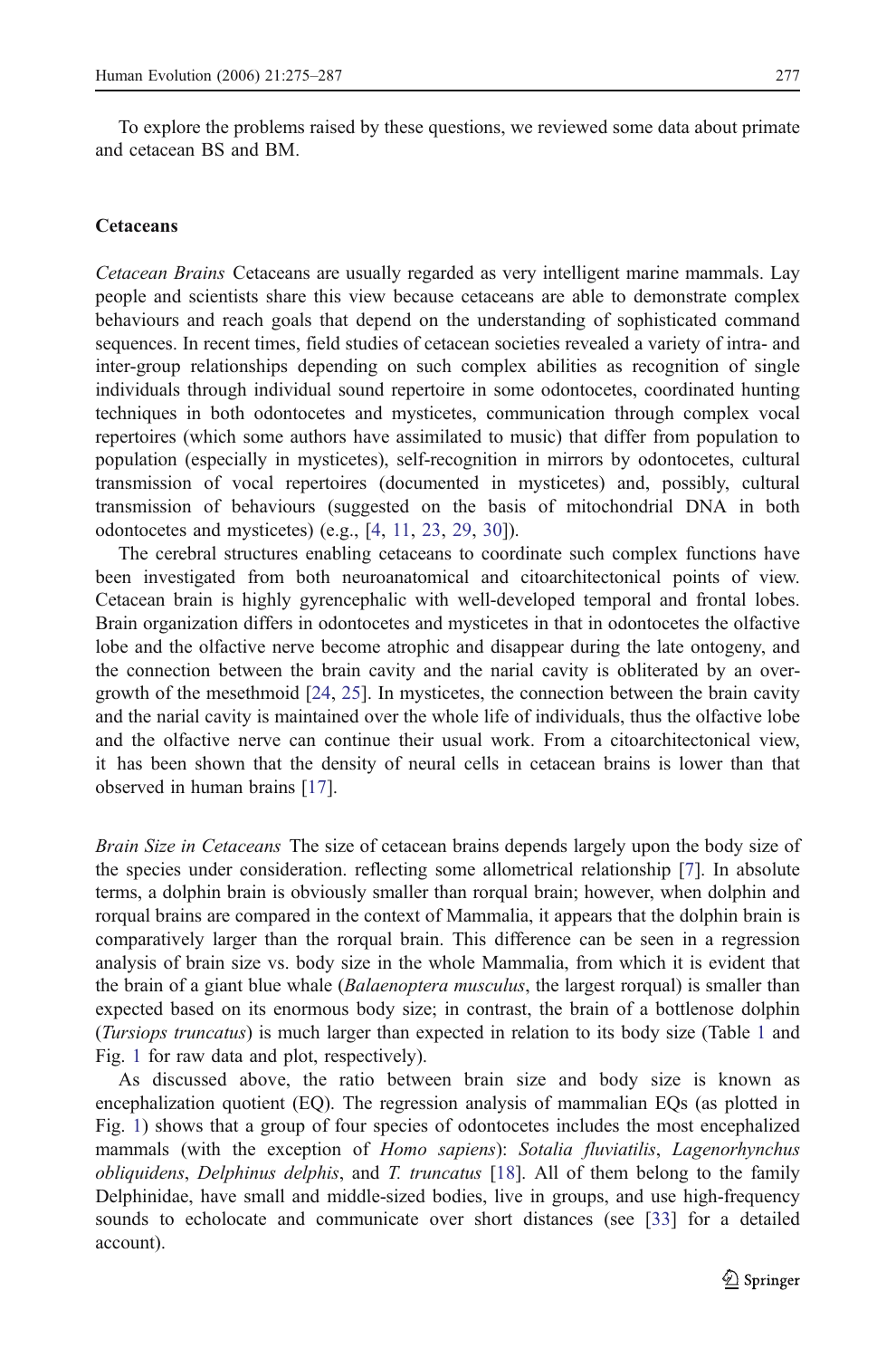To explore the problems raised by these questions, we reviewed some data about primate and cetacean BS and BM.

#### **Cetaceans**

Cetacean Brains Cetaceans are usually regarded as very intelligent marine mammals. Lay people and scientists share this view because cetaceans are able to demonstrate complex behaviours and reach goals that depend on the understanding of sophisticated command sequences. In recent times, field studies of cetacean societies revealed a variety of intra- and inter-group relationships depending on such complex abilities as recognition of single individuals through individual sound repertoire in some odontocetes, coordinated hunting techniques in both odontocetes and mysticetes, communication through complex vocal repertoires (which some authors have assimilated to music) that differ from population to population (especially in mysticetes), self-recognition in mirrors by odontocetes, cultural transmission of vocal repertoires (documented in mysticetes) and, possibly, cultural transmission of behaviours (suggested on the basis of mitochondrial DNA in both odontocetes and mysticetes) (e.g., [\[4,](#page-11-0) [11,](#page-11-0) [23,](#page-12-0) [29,](#page-12-0) [30](#page-12-0)]).

The cerebral structures enabling cetaceans to coordinate such complex functions have been investigated from both neuroanatomical and citoarchitectonical points of view. Cetacean brain is highly gyrencephalic with well-developed temporal and frontal lobes. Brain organization differs in odontocetes and mysticetes in that in odontocetes the olfactive lobe and the olfactive nerve become atrophic and disappear during the late ontogeny, and the connection between the brain cavity and the narial cavity is obliterated by an overgrowth of the mesethmoid [[24](#page-12-0), [25](#page-12-0)]. In mysticetes, the connection between the brain cavity and the narial cavity is maintained over the whole life of individuals, thus the olfactive lobe and the olfactive nerve can continue their usual work. From a citoarchitectonical view, it has been shown that the density of neural cells in cetacean brains is lower than that observed in human brains [[17](#page-11-0)].

Brain Size in Cetaceans The size of cetacean brains depends largely upon the body size of the species under consideration. reflecting some allometrical relationship [\[7\]](#page-11-0). In absolute terms, a dolphin brain is obviously smaller than rorqual brain; however, when dolphin and rorqual brains are compared in the context of Mammalia, it appears that the dolphin brain is comparatively larger than the rorqual brain. This difference can be seen in a regression analysis of brain size vs. body size in the whole Mammalia, from which it is evident that the brain of a giant blue whale *(Balaenoptera musculus*, the largest rorqual) is smaller than expected based on its enormous body size; in contrast, the brain of a bottlenose dolphin (Tursiops truncatus) is much larger than expected in relation to its body size (Table [1](#page-3-0) and Fig. [1](#page-5-0) for raw data and plot, respectively).

As discussed above, the ratio between brain size and body size is known as encephalization quotient (EQ). The regression analysis of mammalian EQs (as plotted in Fig. [1\)](#page-5-0) shows that a group of four species of odontocetes includes the most encephalized mammals (with the exception of Homo sapiens): Sotalia fluviatilis, Lagenorhynchus obliquidens, Delphinus delphis, and T. truncatus [\[18\]](#page-11-0). All of them belong to the family Delphinidae, have small and middle-sized bodies, live in groups, and use high-frequency sounds to echolocate and communicate over short distances (see [[33](#page-12-0)] for a detailed account).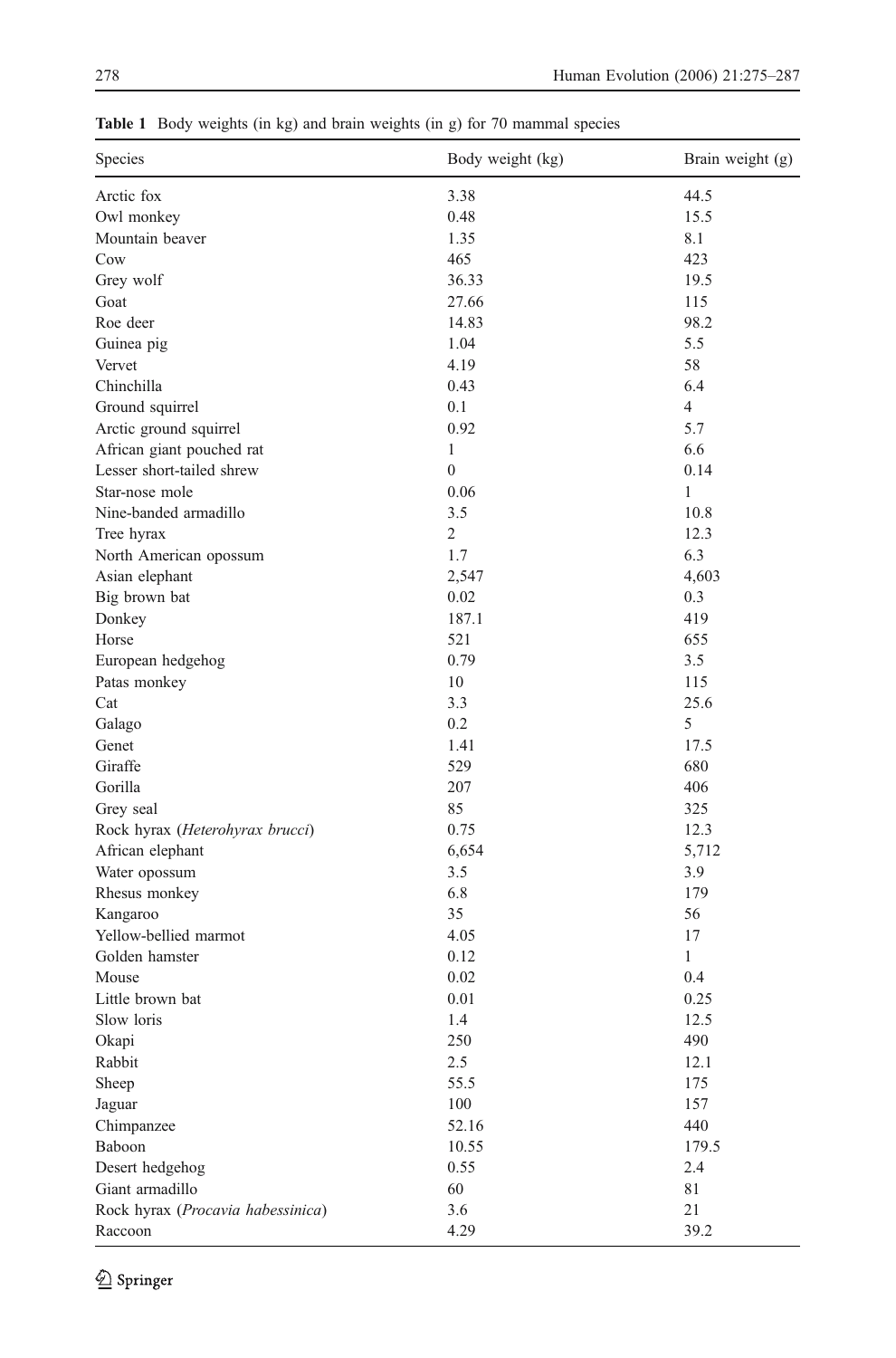| Species                           | Body weight (kg) | Brain weight (g) |
|-----------------------------------|------------------|------------------|
| Arctic fox                        | 3.38             | 44.5             |
| Owl monkey                        | 0.48             | 15.5             |
| Mountain beaver                   | 1.35             | 8.1              |
| Cow                               | 465              | 423              |
| Grey wolf                         | 36.33            | 19.5             |
| Goat                              | 27.66            | 115              |
| Roe deer                          | 14.83            | 98.2             |
| Guinea pig                        | 1.04             | 5.5              |
| Vervet                            | 4.19             | 58               |
| Chinchilla                        | 0.43             | 6.4              |
| Ground squirrel                   | 0.1              | $\overline{4}$   |
| Arctic ground squirrel            | 0.92             | 5.7              |
| African giant pouched rat         | $\mathbf{1}$     | 6.6              |
| Lesser short-tailed shrew         | $\mathbf{0}$     | 0.14             |
| Star-nose mole                    | 0.06             | 1                |
| Nine-banded armadillo             | 3.5              | 10.8             |
| Tree hyrax                        | 2                | 12.3             |
| North American opossum            | 1.7              | 6.3              |
| Asian elephant                    | 2,547            | 4,603            |
| Big brown bat                     | 0.02             | 0.3              |
| Donkey                            | 187.1            | 419              |
| Horse                             | 521              | 655              |
| European hedgehog                 | 0.79             | 3.5              |
| Patas monkey                      | 10               | 115              |
| Cat                               | 3.3              | 25.6             |
| Galago                            | 0.2              | 5                |
| Genet                             | 1.41             | 17.5             |
| Giraffe                           | 529              | 680              |
| Gorilla                           | 207              | 406              |
| Grey seal                         | 85               | 325              |
| Rock hyrax (Heterohyrax brucci)   | 0.75             | 12.3             |
| African elephant                  | 6,654            | 5,712            |
| Water opossum                     | 3.5              | 3.9              |
| Rhesus monkey                     | 6.8              | 179              |
| Kangaroo                          | 35               | 56               |
| Yellow-bellied marmot             | 4.05             | 17               |
| Golden hamster                    | 0.12             | 1                |
| Mouse                             | 0.02             | 0.4              |
| Little brown bat                  | 0.01             | 0.25             |
| Slow loris                        | 1.4              | 12.5             |
|                                   |                  | 490              |
| Okapi                             | 250              |                  |
| Rabbit                            | 2.5<br>55.5      | 12.1<br>175      |
| Sheep                             |                  |                  |
| Jaguar                            | 100              | 157              |
| Chimpanzee                        | 52.16            | 440              |
| Baboon                            | 10.55            | 179.5            |
| Desert hedgehog                   | 0.55             | 2.4              |
| Giant armadillo                   | 60               | 81               |
| Rock hyrax (Procavia habessinica) | 3.6              | 21               |
| Raccoon                           | 4.29             | 39.2             |

<span id="page-3-0"></span>Table 1 Body weights (in kg) and brain weights (in g) for 70 mammal species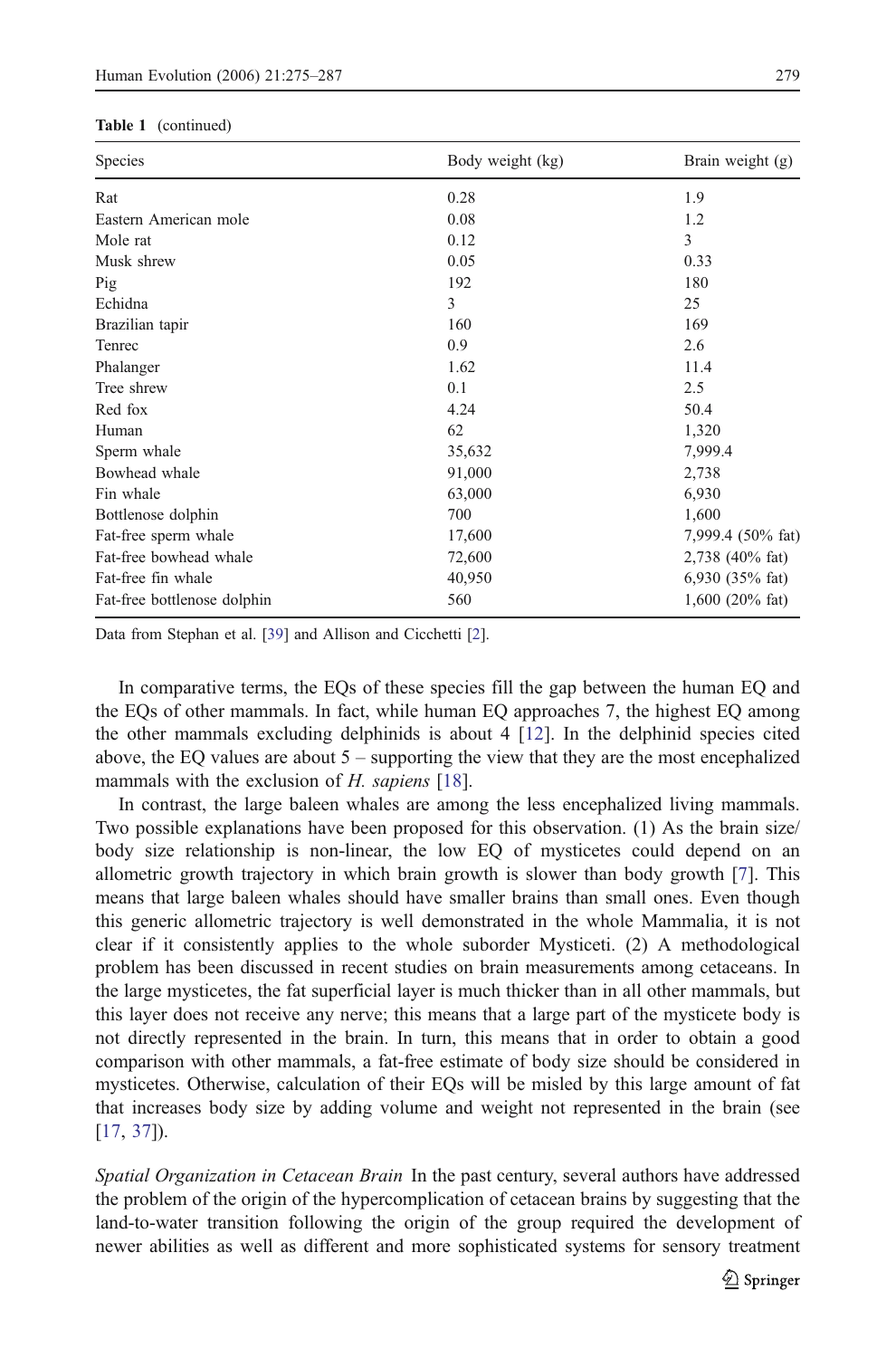| Table 1 | (continued) |
|---------|-------------|
|---------|-------------|

| Species                     | Body weight (kg) | Brain weight $(g)$ |
|-----------------------------|------------------|--------------------|
| Rat                         | 0.28             | 1.9                |
| Eastern American mole       | 0.08             | 1.2                |
| Mole rat                    | 0.12             | 3                  |
| Musk shrew                  | 0.05             | 0.33               |
| Pig                         | 192              | 180                |
| Echidna                     | 3                | 25                 |
| Brazilian tapir             | 160              | 169                |
| Tenrec                      | 0.9              | 2.6                |
| Phalanger                   | 1.62             | 11.4               |
| Tree shrew                  | 0.1              | 2.5                |
| Red fox                     | 4.24             | 50.4               |
| Human                       | 62               | 1,320              |
| Sperm whale                 | 35,632           | 7,999.4            |
| Bowhead whale               | 91,000           | 2,738              |
| Fin whale                   | 63,000           | 6,930              |
| Bottlenose dolphin          | 700              | 1,600              |
| Fat-free sperm whale        | 17,600           | 7,999.4 (50% fat)  |
| Fat-free bowhead whale      | 72,600           | 2,738 (40% fat)    |
| Fat-free fin whale          | 40,950           | 6,930 (35% fat)    |
| Fat-free bottlenose dolphin | 560              | $1,600$ (20% fat)  |

Data from Stephan et al. [\[39](#page-12-0)] and Allison and Cicchetti [[2\]](#page-11-0).

In comparative terms, the EQs of these species fill the gap between the human EQ and the EQs of other mammals. In fact, while human EQ approaches 7, the highest EQ among the other mammals excluding delphinids is about 4 [\[12\]](#page-11-0). In the delphinid species cited above, the EQ values are about  $5$  – supporting the view that they are the most encephalized mammals with the exclusion of H. sapiens [\[18\]](#page-11-0).

In contrast, the large baleen whales are among the less encephalized living mammals. Two possible explanations have been proposed for this observation. (1) As the brain size/ body size relationship is non-linear, the low EQ of mysticetes could depend on an allometric growth trajectory in which brain growth is slower than body growth [\[7\]](#page-11-0). This means that large baleen whales should have smaller brains than small ones. Even though this generic allometric trajectory is well demonstrated in the whole Mammalia, it is not clear if it consistently applies to the whole suborder Mysticeti. (2) A methodological problem has been discussed in recent studies on brain measurements among cetaceans. In the large mysticetes, the fat superficial layer is much thicker than in all other mammals, but this layer does not receive any nerve; this means that a large part of the mysticete body is not directly represented in the brain. In turn, this means that in order to obtain a good comparison with other mammals, a fat-free estimate of body size should be considered in mysticetes. Otherwise, calculation of their EQs will be misled by this large amount of fat that increases body size by adding volume and weight not represented in the brain (see [[17](#page-11-0), [37](#page-12-0)]).

Spatial Organization in Cetacean Brain In the past century, several authors have addressed the problem of the origin of the hypercomplication of cetacean brains by suggesting that the land-to-water transition following the origin of the group required the development of newer abilities as well as different and more sophisticated systems for sensory treatment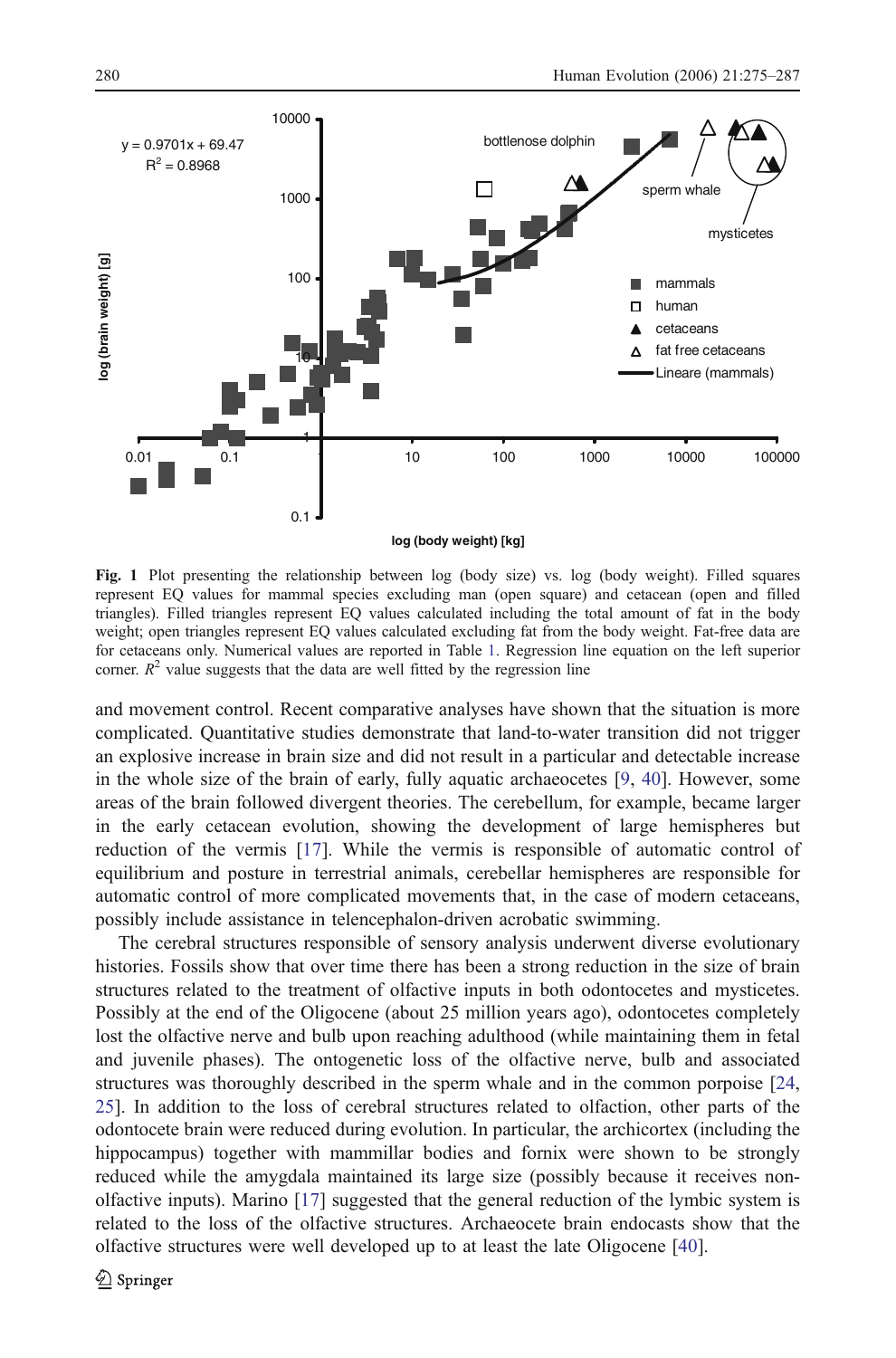<span id="page-5-0"></span>

Fig. 1 Plot presenting the relationship between log (body size) vs. log (body weight). Filled squares represent EQ values for mammal species excluding man (open square) and cetacean (open and filled triangles). Filled triangles represent EQ values calculated including the total amount of fat in the body weight; open triangles represent EQ values calculated excluding fat from the body weight. Fat-free data are for cetaceans only. Numerical values are reported in Table [1](#page-3-0). Regression line equation on the left superior corner.  $R^2$  value suggests that the data are well fitted by the regression line

and movement control. Recent comparative analyses have shown that the situation is more complicated. Quantitative studies demonstrate that land-to-water transition did not trigger an explosive increase in brain size and did not result in a particular and detectable increase in the whole size of the brain of early, fully aquatic archaeocetes [\[9](#page-11-0), [40](#page-12-0)]. However, some areas of the brain followed divergent theories. The cerebellum, for example, became larger in the early cetacean evolution, showing the development of large hemispheres but reduction of the vermis [\[17\]](#page-11-0). While the vermis is responsible of automatic control of equilibrium and posture in terrestrial animals, cerebellar hemispheres are responsible for automatic control of more complicated movements that, in the case of modern cetaceans,

possibly include assistance in telencephalon-driven acrobatic swimming.

The cerebral structures responsible of sensory analysis underwent diverse evolutionary histories. Fossils show that over time there has been a strong reduction in the size of brain structures related to the treatment of olfactive inputs in both odontocetes and mysticetes. Possibly at the end of the Oligocene (about 25 million years ago), odontocetes completely lost the olfactive nerve and bulb upon reaching adulthood (while maintaining them in fetal and juvenile phases). The ontogenetic loss of the olfactive nerve, bulb and associated structures was thoroughly described in the sperm whale and in the common porpoise [[24](#page-12-0), [25](#page-12-0)]. In addition to the loss of cerebral structures related to olfaction, other parts of the odontocete brain were reduced during evolution. In particular, the archicortex (including the hippocampus) together with mammillar bodies and fornix were shown to be strongly reduced while the amygdala maintained its large size (possibly because it receives nonolfactive inputs). Marino [\[17\]](#page-11-0) suggested that the general reduction of the lymbic system is related to the loss of the olfactive structures. Archaeocete brain endocasts show that the olfactive structures were well developed up to at least the late Oligocene [[40](#page-12-0)].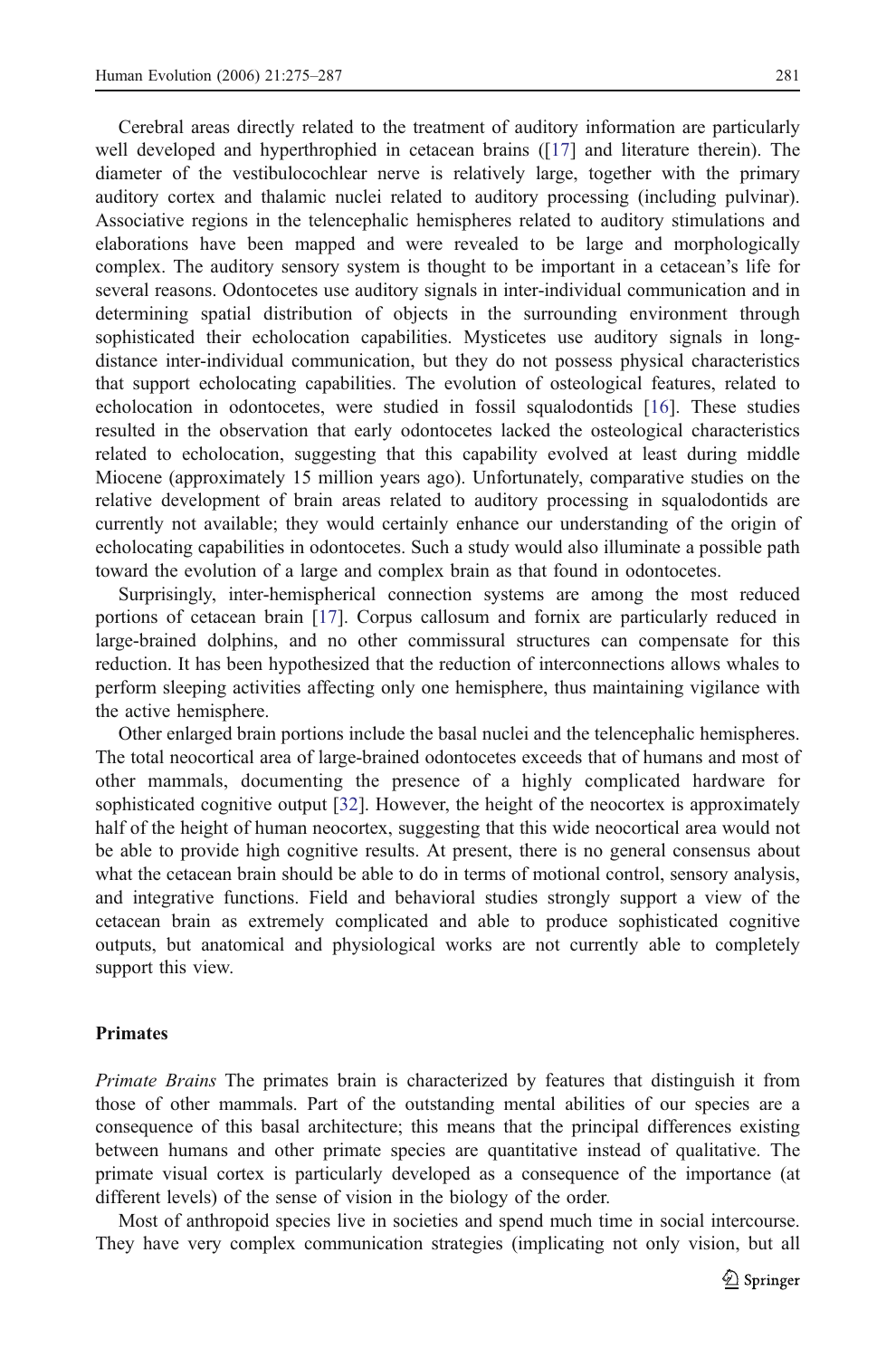Cerebral areas directly related to the treatment of auditory information are particularly well developed and hyperthrophied in cetacean brains ([\[17\]](#page-11-0) and literature therein). The diameter of the vestibulocochlear nerve is relatively large, together with the primary auditory cortex and thalamic nuclei related to auditory processing (including pulvinar). Associative regions in the telencephalic hemispheres related to auditory stimulations and elaborations have been mapped and were revealed to be large and morphologically complex. The auditory sensory system is thought to be important in a cetacean's life for several reasons. Odontocetes use auditory signals in inter-individual communication and in determining spatial distribution of objects in the surrounding environment through sophisticated their echolocation capabilities. Mysticetes use auditory signals in longdistance inter-individual communication, but they do not possess physical characteristics that support echolocating capabilities. The evolution of osteological features, related to echolocation in odontocetes, were studied in fossil squalodontids [[16](#page-11-0)]. These studies resulted in the observation that early odontocetes lacked the osteological characteristics related to echolocation, suggesting that this capability evolved at least during middle Miocene (approximately 15 million years ago). Unfortunately, comparative studies on the relative development of brain areas related to auditory processing in squalodontids are currently not available; they would certainly enhance our understanding of the origin of echolocating capabilities in odontocetes. Such a study would also illuminate a possible path toward the evolution of a large and complex brain as that found in odontocetes.

Surprisingly, inter-hemispherical connection systems are among the most reduced portions of cetacean brain [\[17\]](#page-11-0). Corpus callosum and fornix are particularly reduced in large-brained dolphins, and no other commissural structures can compensate for this reduction. It has been hypothesized that the reduction of interconnections allows whales to perform sleeping activities affecting only one hemisphere, thus maintaining vigilance with the active hemisphere.

Other enlarged brain portions include the basal nuclei and the telencephalic hemispheres. The total neocortical area of large-brained odontocetes exceeds that of humans and most of other mammals, documenting the presence of a highly complicated hardware for sophisticated cognitive output [\[32\]](#page-12-0). However, the height of the neocortex is approximately half of the height of human neocortex, suggesting that this wide neocortical area would not be able to provide high cognitive results. At present, there is no general consensus about what the cetacean brain should be able to do in terms of motional control, sensory analysis, and integrative functions. Field and behavioral studies strongly support a view of the cetacean brain as extremely complicated and able to produce sophisticated cognitive outputs, but anatomical and physiological works are not currently able to completely support this view.

#### Primates

Primate Brains The primates brain is characterized by features that distinguish it from those of other mammals. Part of the outstanding mental abilities of our species are a consequence of this basal architecture; this means that the principal differences existing between humans and other primate species are quantitative instead of qualitative. The primate visual cortex is particularly developed as a consequence of the importance (at different levels) of the sense of vision in the biology of the order.

Most of anthropoid species live in societies and spend much time in social intercourse. They have very complex communication strategies (implicating not only vision, but all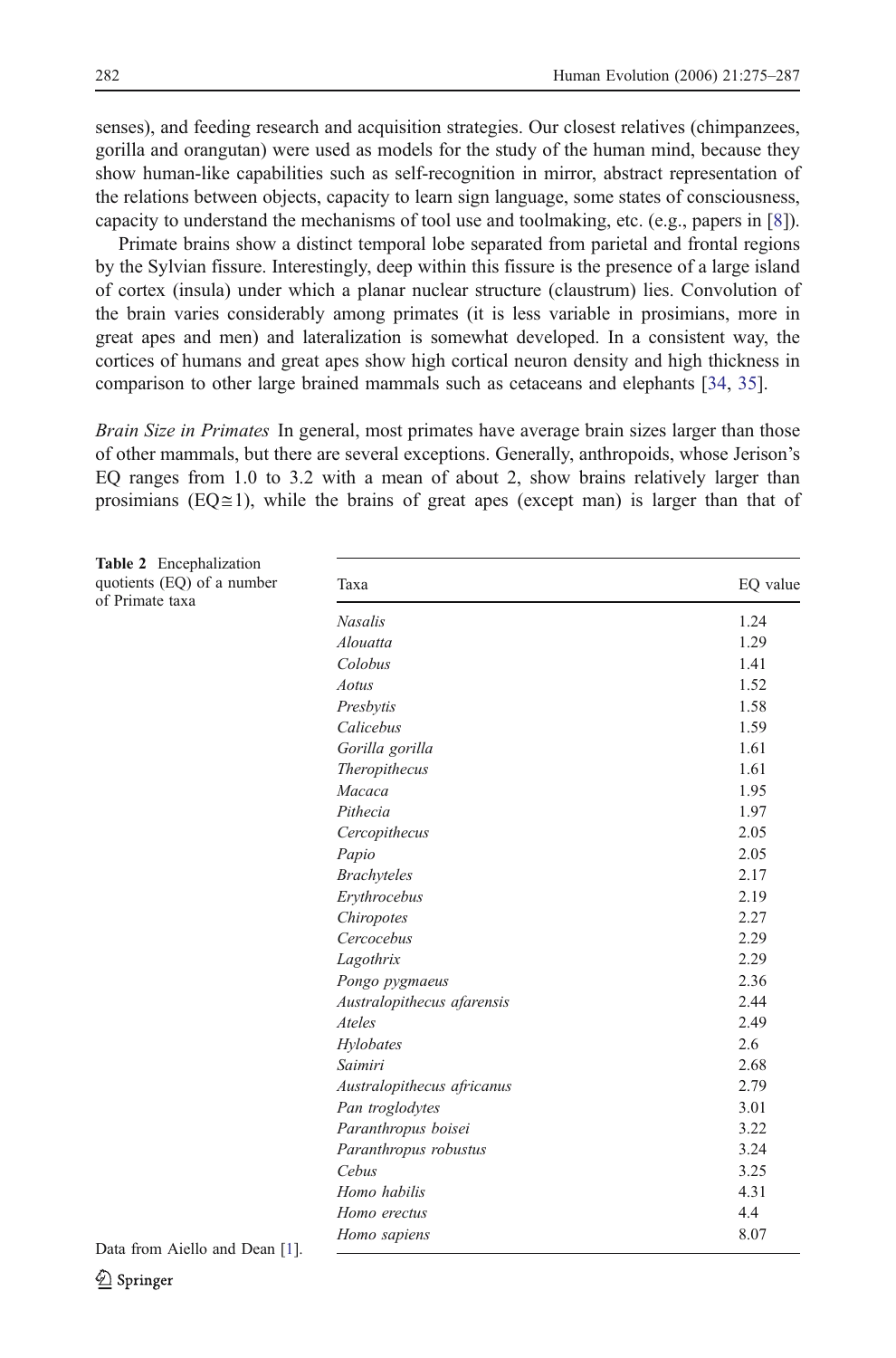<span id="page-7-0"></span>senses), and feeding research and acquisition strategies. Our closest relatives (chimpanzees, gorilla and orangutan) were used as models for the study of the human mind, because they show human-like capabilities such as self-recognition in mirror, abstract representation of the relations between objects, capacity to learn sign language, some states of consciousness, capacity to understand the mechanisms of tool use and toolmaking, etc. (e.g., papers in [\[8](#page-11-0)]).

Primate brains show a distinct temporal lobe separated from parietal and frontal regions by the Sylvian fissure. Interestingly, deep within this fissure is the presence of a large island of cortex (insula) under which a planar nuclear structure (claustrum) lies. Convolution of the brain varies considerably among primates (it is less variable in prosimians, more in great apes and men) and lateralization is somewhat developed. In a consistent way, the cortices of humans and great apes show high cortical neuron density and high thickness in comparison to other large brained mammals such as cetaceans and elephants [\[34,](#page-12-0) [35\]](#page-12-0).

Brain Size in Primates In general, most primates have average brain sizes larger than those of other mammals, but there are several exceptions. Generally, anthropoids, whose Jerison's EQ ranges from 1.0 to 3.2 with a mean of about 2, show brains relatively larger than prosimians (EQ≅1), while the brains of great apes (except man) is larger than that of

| <b>Table 2</b> Encephalization<br>quotients (EQ) of a number<br>of Primate taxa | Taxa                       | EQ value |
|---------------------------------------------------------------------------------|----------------------------|----------|
|                                                                                 | <b>Nasalis</b>             | 1.24     |
|                                                                                 | Alouatta                   | 1.29     |
|                                                                                 | Colobus                    | 1.41     |
|                                                                                 | Aotus                      | 1.52     |
|                                                                                 | Presbytis                  | 1.58     |
|                                                                                 | Calicebus                  | 1.59     |
|                                                                                 | Gorilla gorilla            | 1.61     |
|                                                                                 | Theropithecus              | 1.61     |
|                                                                                 | Macaca                     | 1.95     |
|                                                                                 | Pithecia                   | 1.97     |
|                                                                                 | Cercopithecus              | 2.05     |
|                                                                                 | Papio                      | 2.05     |
|                                                                                 | <b>Brachyteles</b>         | 2.17     |
|                                                                                 | Erythrocebus               | 2.19     |
|                                                                                 | Chiropotes                 | 2.27     |
|                                                                                 | Cercocebus                 | 2.29     |
|                                                                                 | Lagothrix                  | 2.29     |
|                                                                                 | Pongo pygmaeus             | 2.36     |
|                                                                                 | Australopithecus afarensis | 2.44     |
|                                                                                 | Ateles                     | 2.49     |
|                                                                                 | Hylobates                  | 2.6      |
|                                                                                 | Saimiri                    | 2.68     |
|                                                                                 | Australopithecus africanus | 2.79     |
|                                                                                 | Pan troglodytes            | 3.01     |
|                                                                                 | Paranthropus boisei        | 3.22     |
|                                                                                 | Paranthropus robustus      | 3.24     |
|                                                                                 | Cebus                      | 3.25     |
|                                                                                 | Homo habilis               | 4.31     |
|                                                                                 | Homo erectus               | 4.4      |
|                                                                                 | Homo sapiens               | 8.07     |

Data from Aiello and Dean [\[1](#page-11-0)].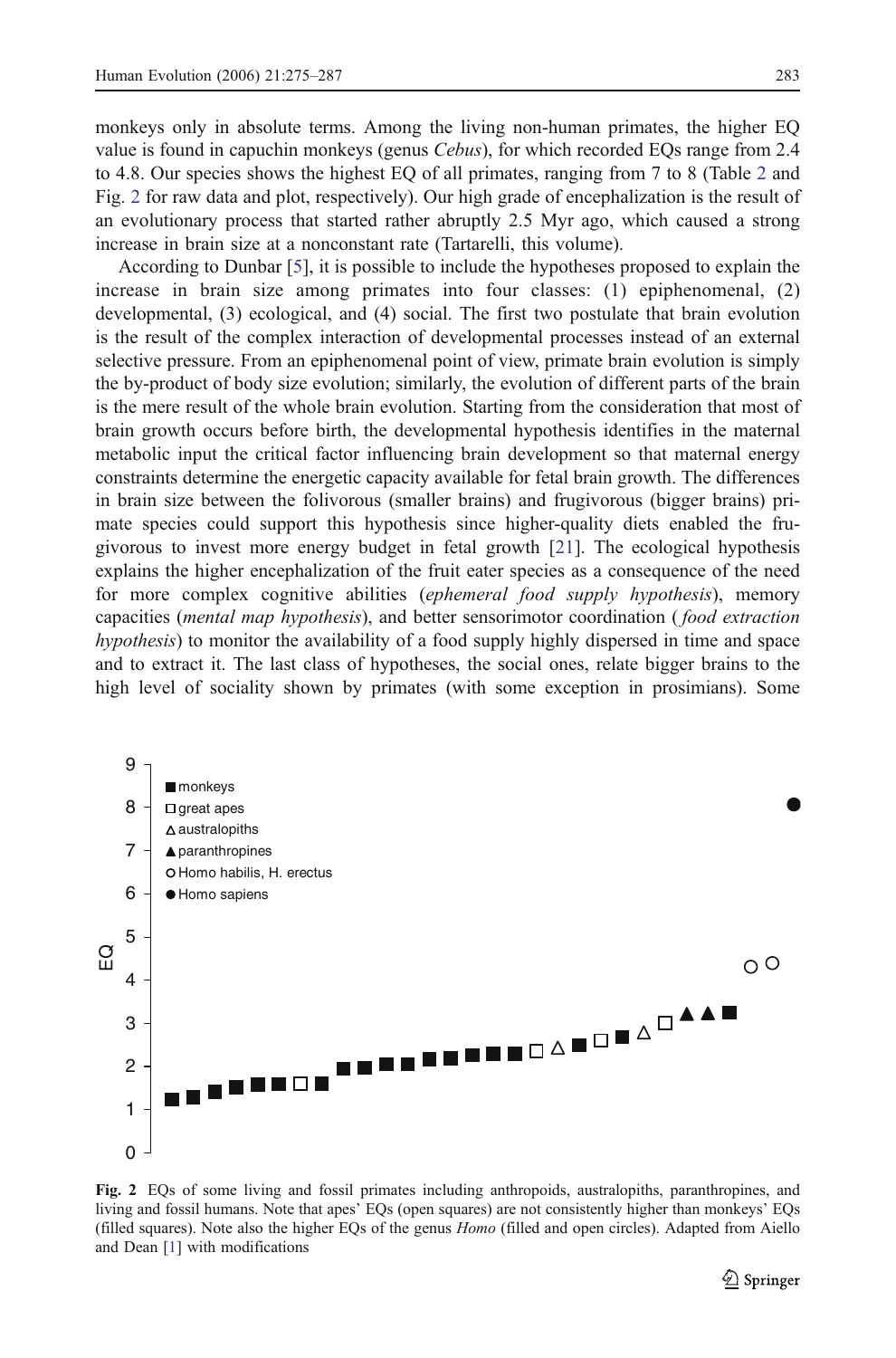monkeys only in absolute terms. Among the living non-human primates, the higher EQ value is found in capuchin monkeys (genus Cebus), for which recorded EQs range from 2.4 to 4.8. Our species shows the highest EQ of all primates, ranging from 7 to 8 (Table [2](#page-7-0) and Fig. 2 for raw data and plot, respectively). Our high grade of encephalization is the result of an evolutionary process that started rather abruptly 2.5 Myr ago, which caused a strong increase in brain size at a nonconstant rate (Tartarelli, this volume).

According to Dunbar [[5\]](#page-11-0), it is possible to include the hypotheses proposed to explain the increase in brain size among primates into four classes: (1) epiphenomenal, (2) developmental, (3) ecological, and (4) social. The first two postulate that brain evolution is the result of the complex interaction of developmental processes instead of an external selective pressure. From an epiphenomenal point of view, primate brain evolution is simply the by-product of body size evolution; similarly, the evolution of different parts of the brain is the mere result of the whole brain evolution. Starting from the consideration that most of brain growth occurs before birth, the developmental hypothesis identifies in the maternal metabolic input the critical factor influencing brain development so that maternal energy constraints determine the energetic capacity available for fetal brain growth. The differences in brain size between the folivorous (smaller brains) and frugivorous (bigger brains) primate species could support this hypothesis since higher-quality diets enabled the frugivorous to invest more energy budget in fetal growth [\[21\]](#page-12-0). The ecological hypothesis explains the higher encephalization of the fruit eater species as a consequence of the need for more complex cognitive abilities (*ephemeral food supply hypothesis*), memory capacities (mental map hypothesis), and better sensorimotor coordination (food extraction hypothesis) to monitor the availability of a food supply highly dispersed in time and space and to extract it. The last class of hypotheses, the social ones, relate bigger brains to the high level of sociality shown by primates (with some exception in prosimians). Some



Fig. 2 EQs of some living and fossil primates including anthropoids, australopiths, paranthropines, and living and fossil humans. Note that apes' EQs (open squares) are not consistently higher than monkeys' EQs (filled squares). Note also the higher EQs of the genus Homo (filled and open circles). Adapted from Aiello and Dean [[1\]](#page-11-0) with modifications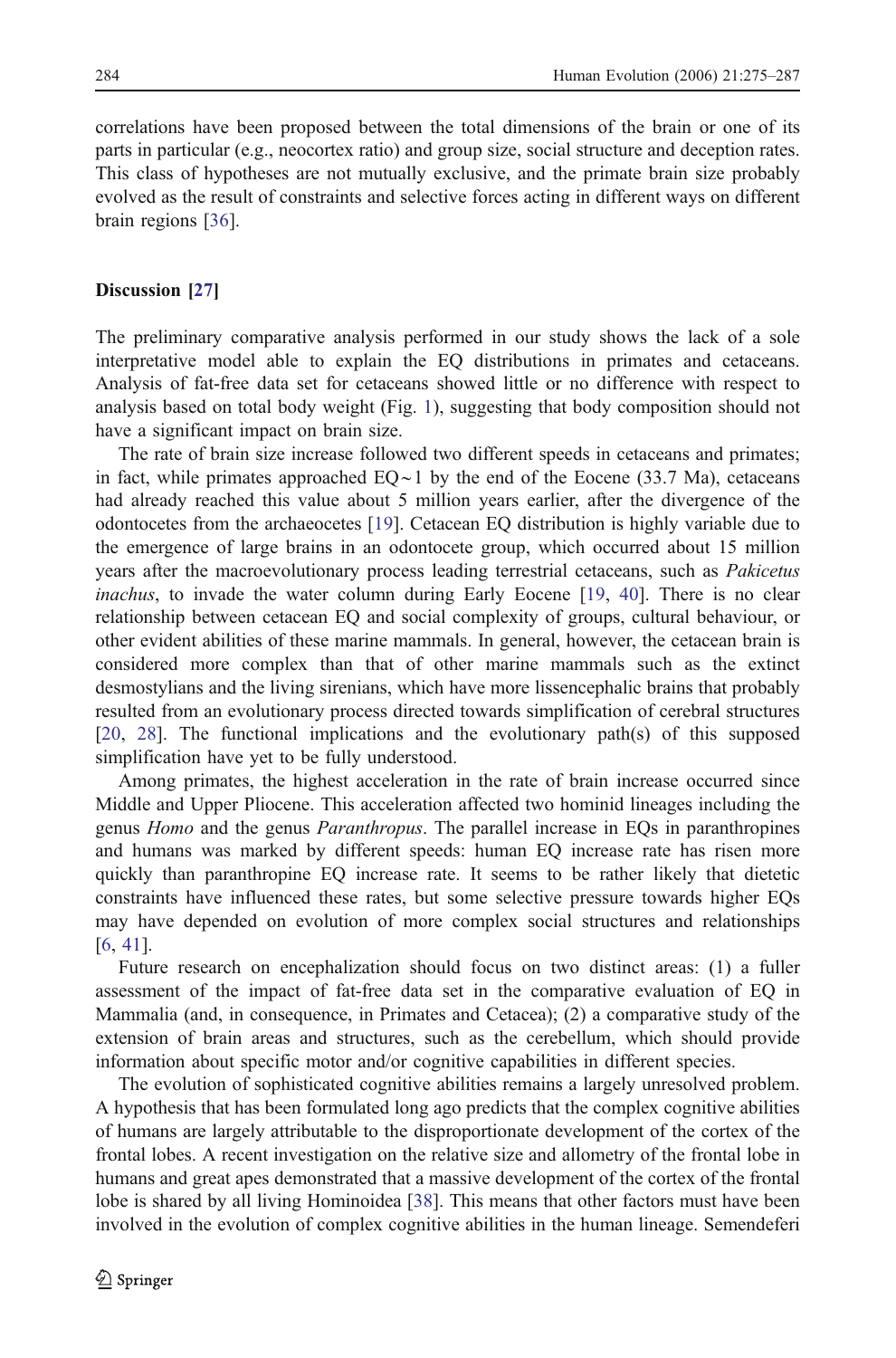correlations have been proposed between the total dimensions of the brain or one of its parts in particular (e.g., neocortex ratio) and group size, social structure and deception rates. This class of hypotheses are not mutually exclusive, and the primate brain size probably evolved as the result of constraints and selective forces acting in different ways on different brain regions [[36](#page-12-0)].

### Discussion [\[27\]](#page-12-0)

The preliminary comparative analysis performed in our study shows the lack of a sole interpretative model able to explain the EQ distributions in primates and cetaceans. Analysis of fat-free data set for cetaceans showed little or no difference with respect to analysis based on total body weight (Fig. [1](#page-5-0)), suggesting that body composition should not have a significant impact on brain size.

The rate of brain size increase followed two different speeds in cetaceans and primates; in fact, while primates approached EQ∼1 by the end of the Eocene (33.7 Ma), cetaceans had already reached this value about 5 million years earlier, after the divergence of the odontocetes from the archaeocetes [\[19\]](#page-12-0). Cetacean EQ distribution is highly variable due to the emergence of large brains in an odontocete group, which occurred about 15 million years after the macroevolutionary process leading terrestrial cetaceans, such as *Pakicetus* inachus, to invade the water column during Early Eocene [[19](#page-12-0), [40](#page-12-0)]. There is no clear relationship between cetacean EQ and social complexity of groups, cultural behaviour, or other evident abilities of these marine mammals. In general, however, the cetacean brain is considered more complex than that of other marine mammals such as the extinct desmostylians and the living sirenians, which have more lissencephalic brains that probably resulted from an evolutionary process directed towards simplification of cerebral structures [[20](#page-12-0), [28\]](#page-12-0). The functional implications and the evolutionary path(s) of this supposed simplification have yet to be fully understood.

Among primates, the highest acceleration in the rate of brain increase occurred since Middle and Upper Pliocene. This acceleration affected two hominid lineages including the genus Homo and the genus Paranthropus. The parallel increase in EQs in paranthropines and humans was marked by different speeds: human EQ increase rate has risen more quickly than paranthropine EQ increase rate. It seems to be rather likely that dietetic constraints have influenced these rates, but some selective pressure towards higher EQs may have depended on evolution of more complex social structures and relationships [[6,](#page-11-0) [41\]](#page-12-0).

Future research on encephalization should focus on two distinct areas: (1) a fuller assessment of the impact of fat-free data set in the comparative evaluation of EQ in Mammalia (and, in consequence, in Primates and Cetacea); (2) a comparative study of the extension of brain areas and structures, such as the cerebellum, which should provide information about specific motor and/or cognitive capabilities in different species.

The evolution of sophisticated cognitive abilities remains a largely unresolved problem. A hypothesis that has been formulated long ago predicts that the complex cognitive abilities of humans are largely attributable to the disproportionate development of the cortex of the frontal lobes. A recent investigation on the relative size and allometry of the frontal lobe in humans and great apes demonstrated that a massive development of the cortex of the frontal lobe is shared by all living Hominoidea [[38](#page-12-0)]. This means that other factors must have been involved in the evolution of complex cognitive abilities in the human lineage. Semendeferi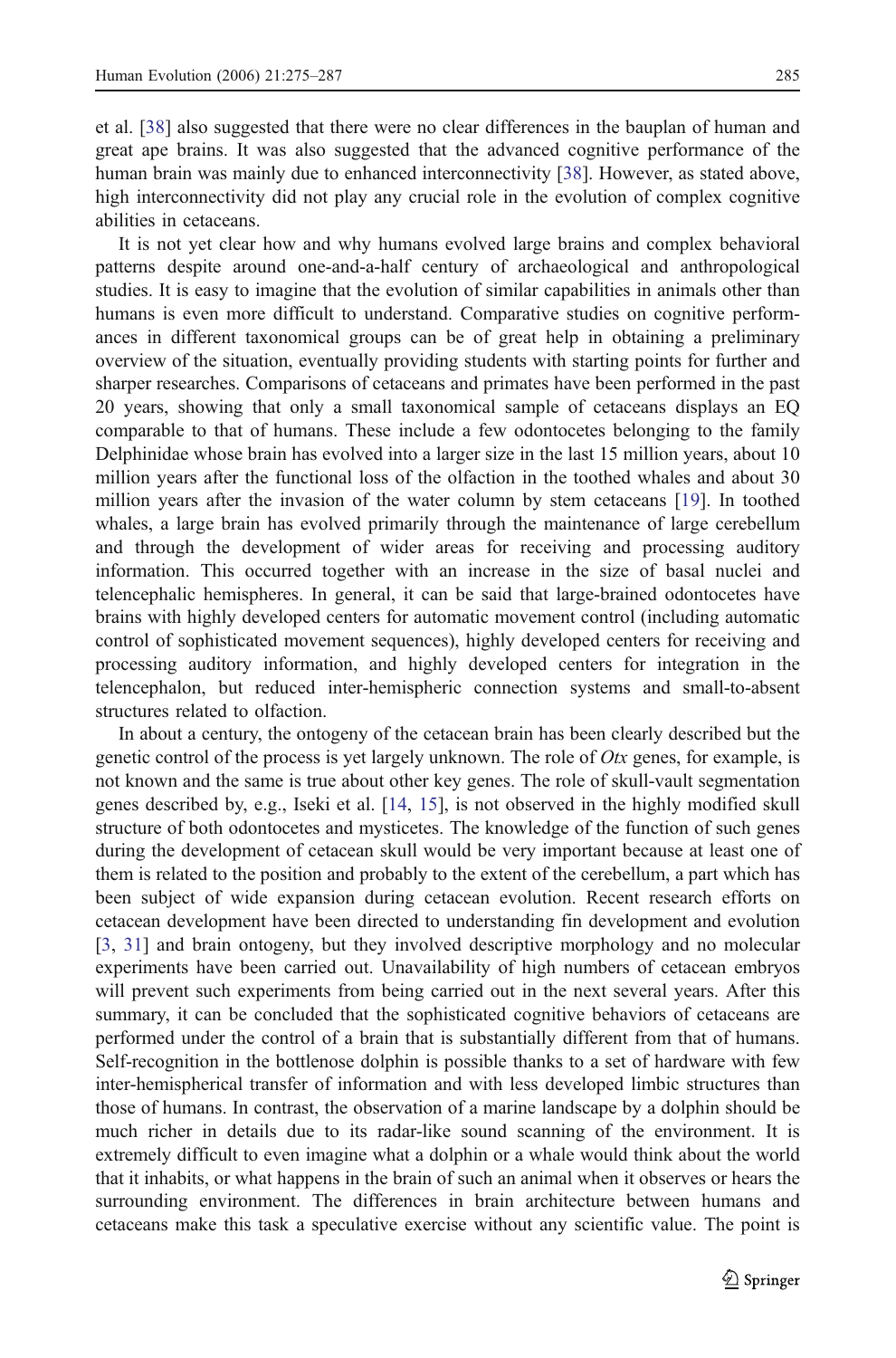et al. [\[38\]](#page-12-0) also suggested that there were no clear differences in the bauplan of human and great ape brains. It was also suggested that the advanced cognitive performance of the human brain was mainly due to enhanced interconnectivity [\[38\]](#page-12-0). However, as stated above, high interconnectivity did not play any crucial role in the evolution of complex cognitive abilities in cetaceans.

It is not yet clear how and why humans evolved large brains and complex behavioral patterns despite around one-and-a-half century of archaeological and anthropological studies. It is easy to imagine that the evolution of similar capabilities in animals other than humans is even more difficult to understand. Comparative studies on cognitive performances in different taxonomical groups can be of great help in obtaining a preliminary overview of the situation, eventually providing students with starting points for further and sharper researches. Comparisons of cetaceans and primates have been performed in the past 20 years, showing that only a small taxonomical sample of cetaceans displays an EQ comparable to that of humans. These include a few odontocetes belonging to the family Delphinidae whose brain has evolved into a larger size in the last 15 million years, about 10 million years after the functional loss of the olfaction in the toothed whales and about 30 million years after the invasion of the water column by stem cetaceans [\[19\]](#page-12-0). In toothed whales, a large brain has evolved primarily through the maintenance of large cerebellum and through the development of wider areas for receiving and processing auditory information. This occurred together with an increase in the size of basal nuclei and telencephalic hemispheres. In general, it can be said that large-brained odontocetes have brains with highly developed centers for automatic movement control (including automatic control of sophisticated movement sequences), highly developed centers for receiving and processing auditory information, and highly developed centers for integration in the telencephalon, but reduced inter-hemispheric connection systems and small-to-absent structures related to olfaction.

In about a century, the ontogeny of the cetacean brain has been clearly described but the genetic control of the process is yet largely unknown. The role of  $Otx$  genes, for example, is not known and the same is true about other key genes. The role of skull-vault segmentation genes described by, e.g., Iseki et al. [\[14,](#page-11-0) [15\]](#page-11-0), is not observed in the highly modified skull structure of both odontocetes and mysticetes. The knowledge of the function of such genes during the development of cetacean skull would be very important because at least one of them is related to the position and probably to the extent of the cerebellum, a part which has been subject of wide expansion during cetacean evolution. Recent research efforts on cetacean development have been directed to understanding fin development and evolution [[3,](#page-11-0) [31](#page-12-0)] and brain ontogeny, but they involved descriptive morphology and no molecular experiments have been carried out. Unavailability of high numbers of cetacean embryos will prevent such experiments from being carried out in the next several years. After this summary, it can be concluded that the sophisticated cognitive behaviors of cetaceans are performed under the control of a brain that is substantially different from that of humans. Self-recognition in the bottlenose dolphin is possible thanks to a set of hardware with few inter-hemispherical transfer of information and with less developed limbic structures than those of humans. In contrast, the observation of a marine landscape by a dolphin should be much richer in details due to its radar-like sound scanning of the environment. It is extremely difficult to even imagine what a dolphin or a whale would think about the world that it inhabits, or what happens in the brain of such an animal when it observes or hears the surrounding environment. The differences in brain architecture between humans and cetaceans make this task a speculative exercise without any scientific value. The point is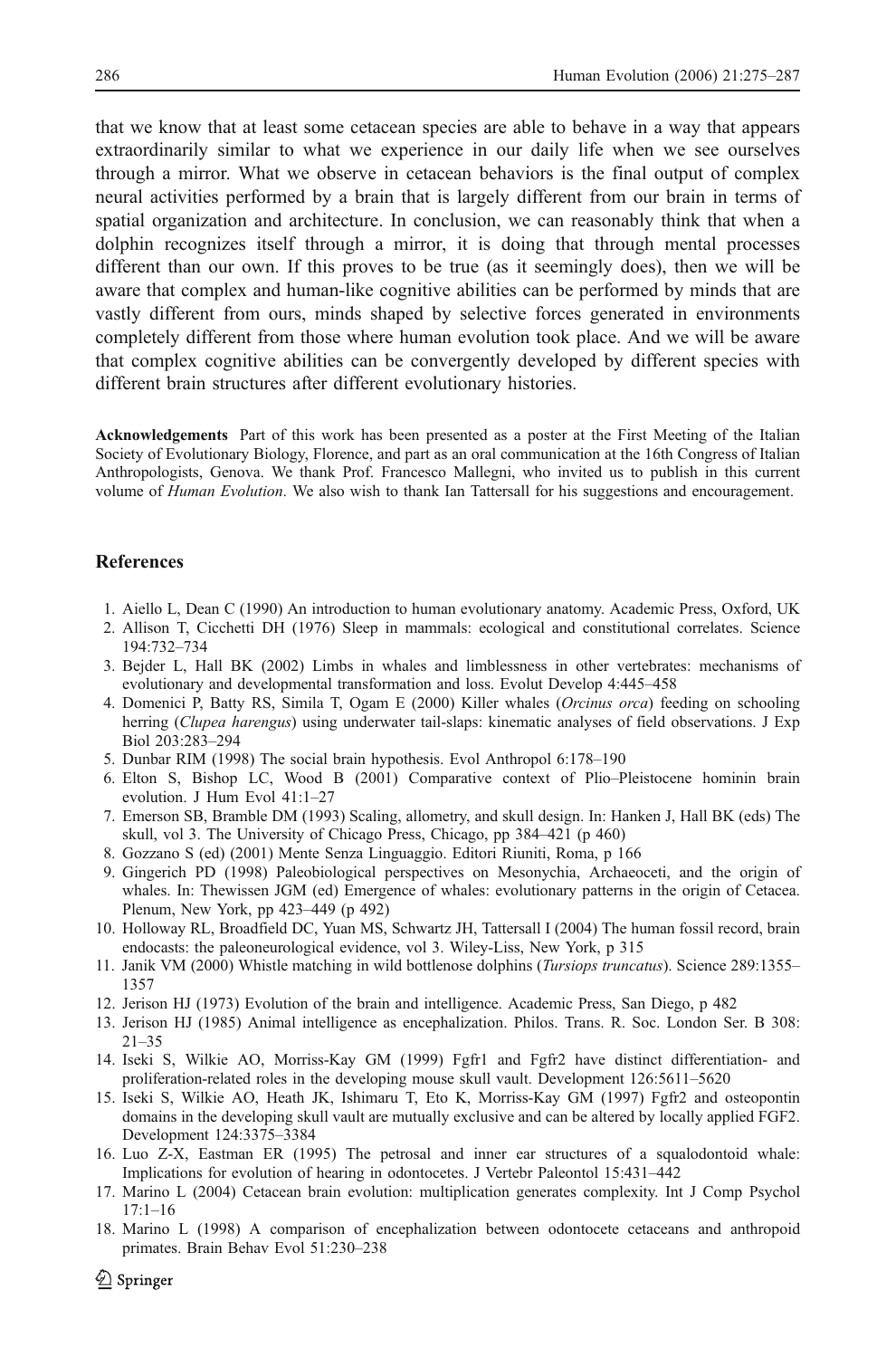<span id="page-11-0"></span>that we know that at least some cetacean species are able to behave in a way that appears extraordinarily similar to what we experience in our daily life when we see ourselves through a mirror. What we observe in cetacean behaviors is the final output of complex neural activities performed by a brain that is largely different from our brain in terms of spatial organization and architecture. In conclusion, we can reasonably think that when a dolphin recognizes itself through a mirror, it is doing that through mental processes different than our own. If this proves to be true (as it seemingly does), then we will be aware that complex and human-like cognitive abilities can be performed by minds that are vastly different from ours, minds shaped by selective forces generated in environments completely different from those where human evolution took place. And we will be aware that complex cognitive abilities can be convergently developed by different species with different brain structures after different evolutionary histories.

Acknowledgements Part of this work has been presented as a poster at the First Meeting of the Italian Society of Evolutionary Biology, Florence, and part as an oral communication at the 16th Congress of Italian Anthropologists, Genova. We thank Prof. Francesco Mallegni, who invited us to publish in this current volume of Human Evolution. We also wish to thank Ian Tattersall for his suggestions and encouragement.

#### **References**

- 1. Aiello L, Dean C (1990) An introduction to human evolutionary anatomy. Academic Press, Oxford, UK
- 2. Allison T, Cicchetti DH (1976) Sleep in mammals: ecological and constitutional correlates. Science 194:732–734
- 3. Bejder L, Hall BK (2002) Limbs in whales and limblessness in other vertebrates: mechanisms of evolutionary and developmental transformation and loss. Evolut Develop 4:445–458
- 4. Domenici P, Batty RS, Simila T, Ogam E (2000) Killer whales (Orcinus orca) feeding on schooling herring (Clupea harengus) using underwater tail-slaps: kinematic analyses of field observations. J Exp Biol 203:283–294
- 5. Dunbar RIM (1998) The social brain hypothesis. Evol Anthropol 6:178–190
- 6. Elton S, Bishop LC, Wood B (2001) Comparative context of Plio–Pleistocene hominin brain evolution. J Hum Evol 41:1–27
- 7. Emerson SB, Bramble DM (1993) Scaling, allometry, and skull design. In: Hanken J, Hall BK (eds) The skull, vol 3. The University of Chicago Press, Chicago, pp 384–421 (p 460)
- 8. Gozzano S (ed) (2001) Mente Senza Linguaggio. Editori Riuniti, Roma, p 166
- 9. Gingerich PD (1998) Paleobiological perspectives on Mesonychia, Archaeoceti, and the origin of whales. In: Thewissen JGM (ed) Emergence of whales: evolutionary patterns in the origin of Cetacea. Plenum, New York, pp 423–449 (p 492)
- 10. Holloway RL, Broadfield DC, Yuan MS, Schwartz JH, Tattersall I (2004) The human fossil record, brain endocasts: the paleoneurological evidence, vol 3. Wiley-Liss, New York, p 315
- 11. Janik VM (2000) Whistle matching in wild bottlenose dolphins (*Tursiops truncatus*). Science 289:1355– 1357
- 12. Jerison HJ (1973) Evolution of the brain and intelligence. Academic Press, San Diego, p 482
- 13. Jerison HJ (1985) Animal intelligence as encephalization. Philos. Trans. R. Soc. London Ser. B 308: 21–35
- 14. Iseki S, Wilkie AO, Morriss-Kay GM (1999) Fgfr1 and Fgfr2 have distinct differentiation- and proliferation-related roles in the developing mouse skull vault. Development 126:5611–5620
- 15. Iseki S, Wilkie AO, Heath JK, Ishimaru T, Eto K, Morriss-Kay GM (1997) Fgfr2 and osteopontin domains in the developing skull vault are mutually exclusive and can be altered by locally applied FGF2. Development 124:3375–3384
- 16. Luo Z-X, Eastman ER (1995) The petrosal and inner ear structures of a squalodontoid whale: Implications for evolution of hearing in odontocetes. J Vertebr Paleontol 15:431–442
- 17. Marino L (2004) Cetacean brain evolution: multiplication generates complexity. Int J Comp Psychol 17:1–16
- 18. Marino L (1998) A comparison of encephalization between odontocete cetaceans and anthropoid primates. Brain Behav Evol 51:230–238